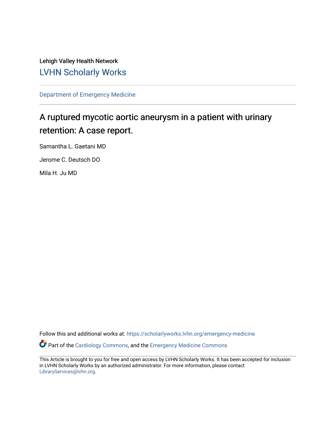Lehigh Valley Health Network [LVHN Scholarly Works](https://scholarlyworks.lvhn.org/)

[Department of Emergency Medicine](https://scholarlyworks.lvhn.org/emergency-medicine)

# A ruptured mycotic aortic aneurysm in a patient with urinary retention: A case report.

Samantha L. Gaetani MD

Jerome C. Deutsch DO

Mila H. Ju MD

Follow this and additional works at: [https://scholarlyworks.lvhn.org/emergency-medicine](https://scholarlyworks.lvhn.org/emergency-medicine?utm_source=scholarlyworks.lvhn.org%2Femergency-medicine%2F722&utm_medium=PDF&utm_campaign=PDFCoverPages) 

Part of the [Cardiology Commons](http://network.bepress.com/hgg/discipline/683?utm_source=scholarlyworks.lvhn.org%2Femergency-medicine%2F722&utm_medium=PDF&utm_campaign=PDFCoverPages), and the [Emergency Medicine Commons](http://network.bepress.com/hgg/discipline/685?utm_source=scholarlyworks.lvhn.org%2Femergency-medicine%2F722&utm_medium=PDF&utm_campaign=PDFCoverPages)

This Article is brought to you for free and open access by LVHN Scholarly Works. It has been accepted for inclusion in LVHN Scholarly Works by an authorized administrator. For more information, please contact [LibraryServices@lvhn.org](mailto:LibraryServices@lvhn.org).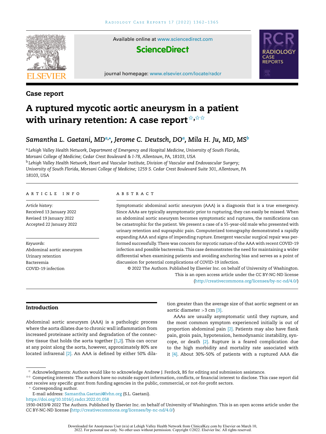

Available online at [www.sciencedirect.com](http://www.sciencedirect.com/science/journal/19300433)

# **ScienceDirect**

journal homepage: [www.elsevier.com/locate/radcr](http://www.elsevier.com/locate/radcr)



### **Case report**

# **A ruptured mycotic aortic aneurysm in a patient with urinary retention: A case report**✩**,**✩✩

## *Samantha L. Gaetani, MDa,***<sup>∗</sup>** *, Jerome C. Deutsch, DO<sup>a</sup> , Mila H. Ju, MD, MS<sup>b</sup>*

<sup>a</sup> *Lehigh Valley Health Network, Department of Emergency and Hospital Medicine, University of South Florida, Morsani College of Medicine; Cedar Crest Boulevard & I-78, Allentown, PA, 18103, USA* <sup>b</sup> *Lehigh Valley Health Network, Heart and Vascular Institute, Division of Vascular and Endovascular Surgery;* University of South Florida, Morsani College of Medicine; 1259 S. Cedar Crest Boulevard Suite 301, Allentown, PA *18103, USA*

#### a r t i c l e i n f o

*Article history:* Received 13 January 2022 Revised 19 January 2022 Accepted 22 January 2022

*Keywords:* Abdominal aortic aneurysm Urinary retention Bacteremia COVID-19 infection

#### A B S T R A C T

Symptomatic abdominal aortic aneurysm (AAA) is a diagnosis that is a true emergency. Since AAAs are typically asymptomatic prior to rupturing, they can easily be missed. When an abdominal aortic aneurysm becomes symptomatic and ruptures, the ramifications can be catastrophic for the patient. We present a case of a 55-year-old male who presented with urinary retention and suprapubic pain. Computerized tomography demonstrated a rapidly expanding AAA and signs of impending rupture. Emergent vascular surgical repair was performed successfully.There was concern for mycotic nature of the AAA with recent COVID-19 infection and possible bacteremia. This case demonstrates the need for maintaining a wider differential when examining patients and avoiding anchoring bias and serves as a point of discussion for potential complications of COVID-19 infection.

© 2022 The Authors. Published by Elsevier Inc. on behalf of University of Washington. This is an open access article under the CC BY-NC-ND license [\(http://creativecommons.org/licenses/by-nc-nd/4.0/\)](http://creativecommons.org/licenses/by-nc-nd/4.0/)

#### **Introduction**

Abdominal aortic aneurysm (AAA) is a pathologic process where the aorta dilates due to chronic wall inflammation from increased proteinase activity and degradation of the connective tissue that holds the aorta together [\[1,2\]](#page-3-0). This can occur at any point along the aorta, however, approximately 80% are located infrarenal <a>[2]</a>. An AAA is defined by either 50% dilation greater than the average size of that aortic segment or an aortic diameter  $>$  3 cm  $[3]$ .

AAAs are usually asymptomatic until they rupture, and the most common symptom experienced initially is out of proportion abdominal pain <a>[2]</a>. Patients may also have flank pain, groin pain, hypotension, hemodynamic instability, syncope, or death  $[2]$ . Rupture is a feared complication due to the high morbidity and mortality rate associated with it [\[4\].](#page-3-0) About 30%-50% of patients with a ruptured AAA die

 $*$  Acknowledgments: Authors would like to acknowledge Andrew J. Ferdock, BS for editing and submission assistance.

<sup>✩✩</sup> Competing interests: The authors have no outside support information, conflicts, or financial interest to disclose. This case report did not receive any specific grant from funding agencies in the public, commercial, or not-for-profit sectors.

Corresponding author.

E-mail address: [Samantha.Gaetani@lvhn.org](mailto:Samantha.Gaetani@lvhn.org) (S.L. Gaetani).

<https://doi.org/10.1016/j.radcr.2022.01.058>

<sup>1930-0433/© 2022</sup> The Authors. Published by Elsevier Inc. on behalf of University of Washington. This is an open access article under the CC BY-NC-ND license [\(http://creativecommons.org/licenses/by-nc-nd/4.0/\)](http://creativecommons.org/licenses/by-nc-nd/4.0/)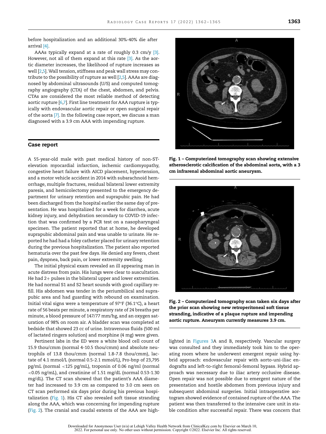before hospitalization and an additional 30%-40% die after arrival [\[4\].](#page-3-0)

AAAs typically expand at a rate of roughly 0.3 cm/y [\[3\].](#page-3-0) However, not all of them expand at this rate [\[3\].](#page-3-0) As the aortic diameter increases, the likelihood of rupture increases as well [\[2,5\]](#page-3-0).Wall tension, stiffness and peak wall stress may contribute to the possibility of rupture as well [\[2,5\]](#page-3-0). AAAs are diagnosed by abdominal ultrasounds (U/S) and computed tomography angiography (CTA) of the chest, abdomen, and pelvis. CTAs are considered the most reliable method of detecting aortic rupture [\[6,7\]](#page-3-0). First line treatment for AAA rupture is typically with endovascular aortic repair or open surgical repair of the aorta [\[7\].](#page-3-0) In the following case report, we discuss a man diagnosed with a 3.9 cm AAA with impending rupture.

#### **Case report**

A 55-year-old male with past medical history of non-STelevation myocardial infarction, ischemic cardiomyopathy, congestive heart failure with AICD placement, hypertension, and a motor vehicle accident in 2014 with subarachnoid hemorrhage, multiple fractures, residual bilateral lower extremity paresis, and hemicolectomy presented to the emergency department for urinary retention and suprapubic pain. He had been discharged from the hospital earlier the same day of presentation. He was hospitalized for a week for diarrhea, acute kidney injury, and dehydration secondary to COVID-19 infection that was confirmed by a PCR test on a nasopharyngeal specimen. The patient reported that at home, he developed suprapubic abdominal pain and was unable to urinate. He reported he had had a foley catheter placed for urinary retention during the previous hospitalization. The patient also reported hematuria over the past few days. He denied any fevers, chest pain, dyspnea, back pain, or lower extremity swelling.

The initial physical exam revealed an ill appearing man in acute distress from pain. His lungs were clear to auscultation. He had 2+ pulses in the bilateral upper and lower extremities. He had normal S1 and S2 heart sounds with good capillary refill. His abdomen was tender in the periumbilical and suprapubic area and had guarding with rebound on examination. Initial vital signs were a temperature of 97°F (36.1°C), a heart rate of 56 beats per minute, a respiratory rate of 24 breaths per minute, a blood pressure of 147/77 mm/hg, and an oxygen saturation of 98% on room air. A bladder scan was completed at bedside that showed 23 cc of urine. Intravenous fluids (500 ml of lactated ringers solution) and morphine (4 mg) were given.

Pertinent labs in the ED were a white blood cell count of 15.9 thou/cmm (normal 4-10.5 thou/cmm) and absolute neutrophils of 13.8 thou/cmm (normal 1.8-7.8 thou/cmm), lactate of 4.1 mmol/L (normal 0.5-2.1 mmol/L), Pro-bnp of 23,795 pg/mL (normal <125 pg/mL), troponin of 0.06 ng/ml (normal <0.05 ng/mL), and creatinine of 1.51 mg/dL (normal 0.53-1.30 mg/dL). The CT scan showed that the patient's AAA diameter had increased to 3.9 cm as compared to 3.0 cm seen on CT scan performed six days prior during his previous hospitalization (Fig. 1). His CT also revealed soft tissue stranding along the AAA, which was concerning for impending rupture (Fig. 2). The cranial and caudal extents of the AAA are high-



**Fig. 1 – Computerized tomography scan showing extensive atherosclerotic calcification of the abdominal aorta, with a 3 cm infrarenal abdominal aortic aneurysm.**



**Fig. 2 – Computerized tomography scan taken six days after the prior scan showing new retroperitoneal soft tissue stranding, indicative of a plaque rupture and impending aortic rupture. Aneurysm currently measures 3.9 cm.**

lighted in [Figures](#page-3-0) 3A and B, respectively. Vascular surgery was consulted and they immediately took him to the operating room where he underwent emergent repair using hybrid approach: endovascular repair with aorto-uni-iliac endografts and left-to-right femoral-femoral bypass. Hybrid approach was necessary due to iliac artery occlusive disease. Open repair was not possible due to emergent nature of the presentation and hostile abdomen from previous injury and subsequent abdominal surgeries. Initial intraoperative aortogram showed evidence of contained rupture of the AAA. The patient was then transferred to the intensive care unit in stable condition after successful repair. There was concern that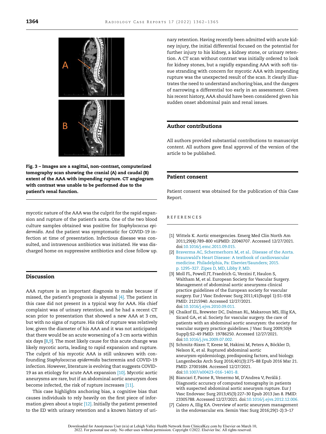<span id="page-3-0"></span>

**Fig. 3 – Images are a sagittal, non-contrast, computerized tomography scan showing the cranial (A) and caudal (B) extent of the AAA with impending rupture. CT angiogram with contrast was unable to be performed due to the patient's renal function.**

mycotic nature of the AAA was the culprit for the rapid expansion and rupture of the patient's aorta. One of the two blood culture samples obtained was positive for *Staphylococcus epidermidis*. And the patient was symptomatic for COVID-19 infection at time of presentation. Infectious disease was consulted, and intravenous antibiotics was initiated. He was discharged home on suppressive antibiotics and close follow up.

#### **Discussion**

AAA rupture is an important diagnosis to make because if missed, the patient's prognosis is abysmal [4]. The patient in this case did not present in a typical way for AAA. His chief complaint was of urinary retention, and he had a recent CT scan prior to presentation that showed a new AAA at 3 cm, but with no signs of rupture. His risk of rupture was relatively low, given the diameter of his AAA and it was not anticipated that there would be an acute worsening of a 3 cm aorta within six days  $[8,9]$ . The most likely cause for this acute change was likely mycotic aorta, leading to rapid expansion and rupture. The culprit of his mycotic AAA is still unknown with confounding *Staphylococcus epidermidis* bacteremia and COVID-19 infection. However, literature is evolving that suggests COVID-19 as an etiology for acute AAA expansion [\[10\].](#page-4-0) Mycotic aortic aneurysms are rare, but if an abdominal aortic aneurysm does become infected, the risk of rupture increases [\[11\].](#page-4-0)

This case highlights anchoring bias, a cognitive bias that causes individuals to rely heavily on the first piece of information given about a topic [\[12\].](#page-4-0) Initially the patient presented to the ED with urinary retention and a known history of uri-

nary retention. Having recently been admitted with acute kidney injury, the initial differential focused on the potential for further injury to his kidney, a kidney stone, or urinary retention. A CT scan without contrast was initially ordered to look for kidney stones, but a rapidly expanding AAA with soft tissue stranding with concern for mycotic AAA with impending rupture was the unexpected result of the scan. It clearly illustrates the need to understand anchoring bias, and the dangers of narrowing a differential too early in an assessment. Given his recent history, AAA should have been considered given his sudden onset abdominal pain and renal issues.

### **Author contributions**

All authors provided substantial contributions to manuscript content. All authors gave final approval of the version of the article to be published.

#### **Patient consent**

Patient consent was obtained for the publication of this Case Report.

#### REFERENCES

- [1] Wittels K. Aortic emergencies. Emerg Med Clin North Am 2011;29(4):789–800 viiPMID: 22040707. Accessed 12/27/2021. doi[:10.1016/j.emc.2011.09.015.](https://doi.org/10.1016/j.emc.2011.09.015)
- [2] [Braverma](http://refhub.elsevier.com/S1930-0433(22)00056-5/sbref0002) AC, [Schermerhorn](http://refhub.elsevier.com/S1930-0433(22)00056-5/sbref0002) M, et [al..](http://refhub.elsevier.com/S1930-0433(22)00056-5/sbref0002) Disease of the Aorta. Braunwald's Heart Disease: A textbook of cardiovascular medicine. Philadelphia, Pa: [Elsevier/Saunders;](http://refhub.elsevier.com/S1930-0433(22)00056-5/sbref0002) 2015. p. 1295–327. Zipes D, MD, Libby P, MD.
- [3] Moll FL, Powell JT, Fraedrich G, Verzini F, Haulon S, Waltham M, et al. European Society for Vascular Surgery. Management of abdominal aortic aneurysms clinical practice guidelines of the European society for vascular surgery. Eur J Vasc Endovasc Surg 2011;41(Suppl 1):S1–S58 PMID: 21215940. Accessed 12/27/2021. doi[:10.1016/j.ejvs.2010.09.011.](https://doi.org/10.1016/j.ejvs.2010.09.011)
- [4] Chaikof EL, Brewster DC, Dalman RL, Makaroun MS, Illig KA, Sicard GA, et al. Society for vascular surgery. the care of patients with an abdominal aortic aneurysm: the society for vascular surgery practice guidelines. J Vasc Surg 2009;50(4 Suppl):S2–49 PMID: 19786250. Accessed 12/27/2021. doi[:10.1016/j.jvs.2009.07.002.](https://doi.org/10.1016/j.jvs.2009.07.002)
- [5] Schmitz-Rixen T, Keese M, Hakimi M, Peters A, Böckler D, Nelson K, et al. Ruptured abdominal aortic aneurysm-epidemiology, predisposing factors, and biology. Langenbecks Arch Surg 2016;401(3):275–88 Epub 2016 Mar 21. PMID: 27001684. Accessed 12/27/2021. doi[:10.1007/s00423-016-1401-8.](https://doi.org/10.1007/s00423-016-1401-8)
- [6] Biancari F, Paone R, Venermo M, D'Andrea V, Perälä J. Diagnostic accuracy of computed tomography in patients with suspected abdominal aortic aneurysm rupture. Eur J Vasc Endovasc Surg 2013;45(3):227–30 Epub 2013 Jan 8. PMID: 23305788. Accessed 12/27/2021. doi[:10.1016/j.ejvs.2012.12.006.](https://doi.org/10.1016/j.ejvs.2012.12.006)
- [7] Calero A, Illig KA. Overview of aortic aneurysm management in the endovascular era. Semin Vasc Surg 2016;29(1-2):3–17

Downloaded for Anonymous User (n/a) at Lehigh Valley Health Network from ClinicalKey.com by Elsevier on March 10, 2022. For personal use only. No other uses without permission. Copyright ©2022. Elsevier Inc. All rights reserved.